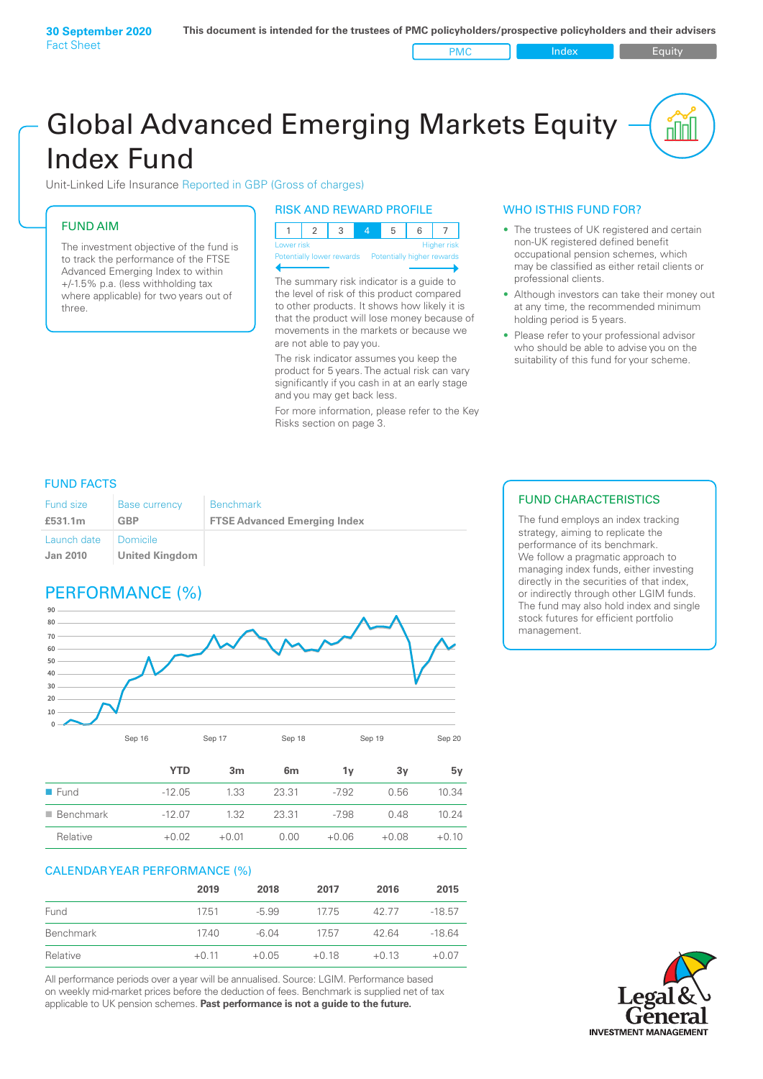# Global Advanced Emerging Markets Equity Index Fund

Unit-Linked Life Insurance Reported in GBP (Gross of charges)

# FUND AIM

The investment objective of the fund is to track the performance of the FTSE Advanced Emerging Index to within +/‑1.5% p.a. (less withholding tax where applicable) for two years out of three.

#### RISK AND REWARD PROFILE

| Lower risk |  |  | <b>Higher risk</b> |
|------------|--|--|--------------------|

**htially lower rewards** 

The summary risk indicator is a guide to the level of risk of this product compared to other products. It shows how likely it is that the product will lose money because of movements in the markets or because we are not able to pay you.

The risk indicator assumes you keep the product for 5 years. The actual risk can vary significantly if you cash in at an early stage and you may get back less.

For more information, please refer to the Key Risks section on page 3.

## WHO IS THIS FUND FOR?

- The trustees of UK registered and certain non-UK registered defined benefit occupational pension schemes, which may be classified as either retail clients or professional clients.
- Although investors can take their money out at any time, the recommended minimum holding period is 5 years.
- Please refer to your professional advisor who should be able to advise you on the suitability of this fund for your scheme.

## FUND FACTS

| <b>Fund size</b>               | <b>Base currency</b>              | <b>Benchmark</b>                    |
|--------------------------------|-----------------------------------|-------------------------------------|
| £531.1m                        | GBP                               | <b>FTSE Advanced Emerging Index</b> |
| Launch date<br><b>Jan 2010</b> | Domicile<br><b>United Kingdom</b> |                                     |

# PERFORMANCE (%)



|                          | YTD      | 3 <sub>m</sub> | 6 <sub>m</sub> | 1۷      | 3v      | 5v      |
|--------------------------|----------|----------------|----------------|---------|---------|---------|
| $\blacksquare$ Fund      | $-12.05$ | 1.33           | 23.31          | $-7.92$ | 0.56    | 10.34   |
| $\blacksquare$ Benchmark | $-1207$  | 1.32           | 23.31          | -7.98   | 0.48    | 10.24   |
| Relative                 | $+0.02$  | $+0.01$        | 0.00           | $+0.06$ | $+0.08$ | $+0.10$ |

#### CALENDAR YEAR PERFORMANCE (%)

|           | 2019    | 2018    | 2017    | 2016    | 2015     |
|-----------|---------|---------|---------|---------|----------|
| Fund      | 17.51   | $-5.99$ | 17.75   | 42.77   | $-18.57$ |
| Benchmark | 17.40   | -6.04   | 1757    | 42.64   | $-1864$  |
| Relative  | $+0.11$ | $+0.05$ | $+0.18$ | $+0.13$ | $+0.07$  |

All performance periods over a year will be annualised. Source: LGIM. Performance based on weekly mid-market prices before the deduction of fees. Benchmark is supplied net of tax applicable to UK pension schemes. **Past performance is not a guide to the future.**

## FUND CHARACTERISTICS

The fund employs an index tracking strategy, aiming to replicate the performance of its benchmark. We follow a pragmatic approach to managing index funds, either investing directly in the securities of that index, or indirectly through other LGIM funds. The fund may also hold index and single stock futures for efficient portfolio management.

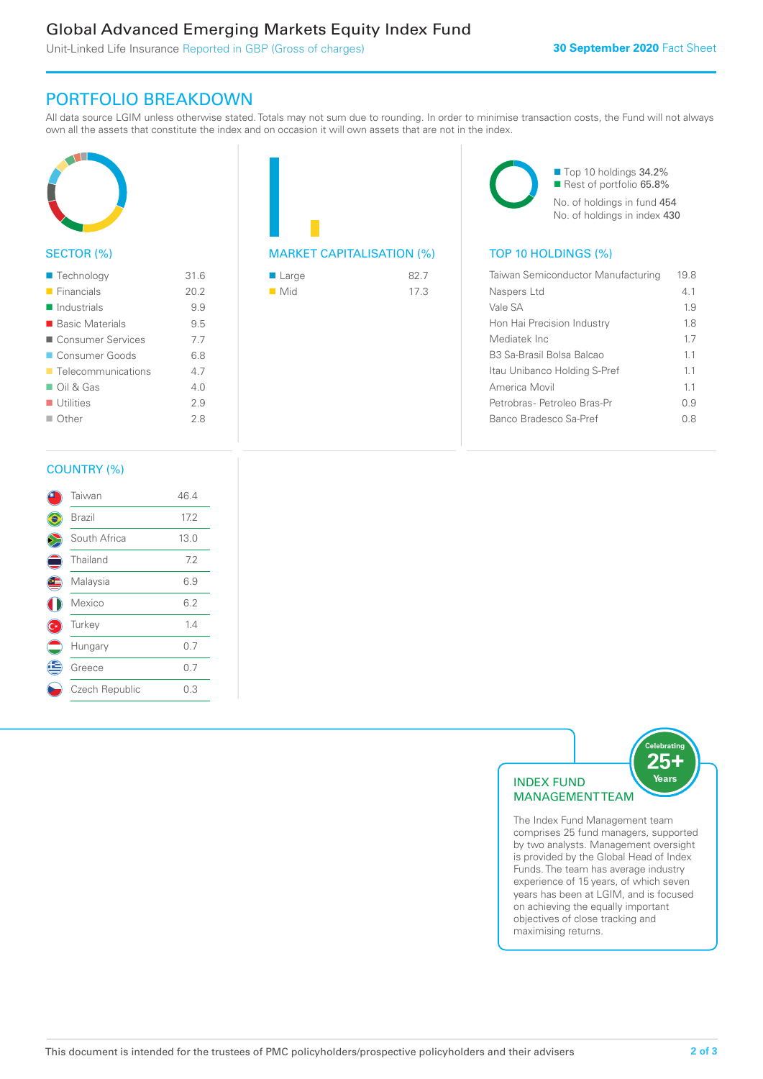# Global Advanced Emerging Markets Equity Index Fund

Unit-Linked Life Insurance Reported in GBP (Gross of charges)

## PORTFOLIO BREAKDOWN

All data source LGIM unless otherwise stated. Totals may not sum due to rounding. In order to minimise transaction costs, the Fund will not always own all the assets that constitute the index and on occasion it will own assets that are not in the index.



#### SECTOR (%)

| $\blacksquare$ Technology         | 31.6 |
|-----------------------------------|------|
| $\blacksquare$ Financials         | 20.2 |
| $\blacksquare$ Industrials        | 9.9  |
| ■ Basic Materials                 | 9.5  |
| ■ Consumer Services               | 7.7  |
| Consumer Goods                    | 6.8  |
| $\blacksquare$ Telecommunications | 47   |
| $\Box$ Oil & Gas                  | 4 N  |
| $\blacksquare$ Utilities          | 2.9  |
| $\Box$ Other                      | 2.8  |
|                                   |      |

| <b>MARKET CAPITALISATION (%)</b> |  |
|----------------------------------|--|

| $\blacksquare$ Large | 82.7 |
|----------------------|------|
| $\blacksquare$ Mid   | 17.3 |

■ Top 10 holdings 34.2% Rest of portfolio 65.8% No. of holdings in fund 454 No. of holdings in index 430

## TOP 10 HOLDINGS (%)

| Taiwan Semiconductor Manufacturing | 19.8 |
|------------------------------------|------|
| Naspers Ltd                        | 41   |
| Vale SA                            | 19   |
| Hon Hai Precision Industry         | 18   |
| Mediatek Inc                       | 17   |
| B3 Sa-Brasil Bolsa Balcao          | 11   |
| Itau Unibanco Holding S-Pref       | 11   |
| America Movil                      | 11   |
| Petrobras- Petroleo Bras-Pr        | O 9  |
| Banco Bradesco Sa-Pref             | 08   |

#### COUNTRY (%)

|     | Taiwan         | 46.4 |
|-----|----------------|------|
|     | Brazil         | 17.2 |
|     | South Africa   | 13.0 |
|     | Thailand       | 7.2  |
|     | Malaysia       | 6.9  |
|     | Mexico         | 6.2  |
| (C∗ | Turkey         | 1.4  |
|     | Hungary        | 0.7  |
| Æ   | Greece         | 0.7  |
|     | Czech Republic | 0.3  |
|     |                |      |



comprises 25 fund managers, supported by two analysts. Management oversight is provided by the Global Head of Index Funds. The team has average industry experience of 15 years, of which seven years has been at LGIM, and is focused on achieving the equally important objectives of close tracking and maximising returns.